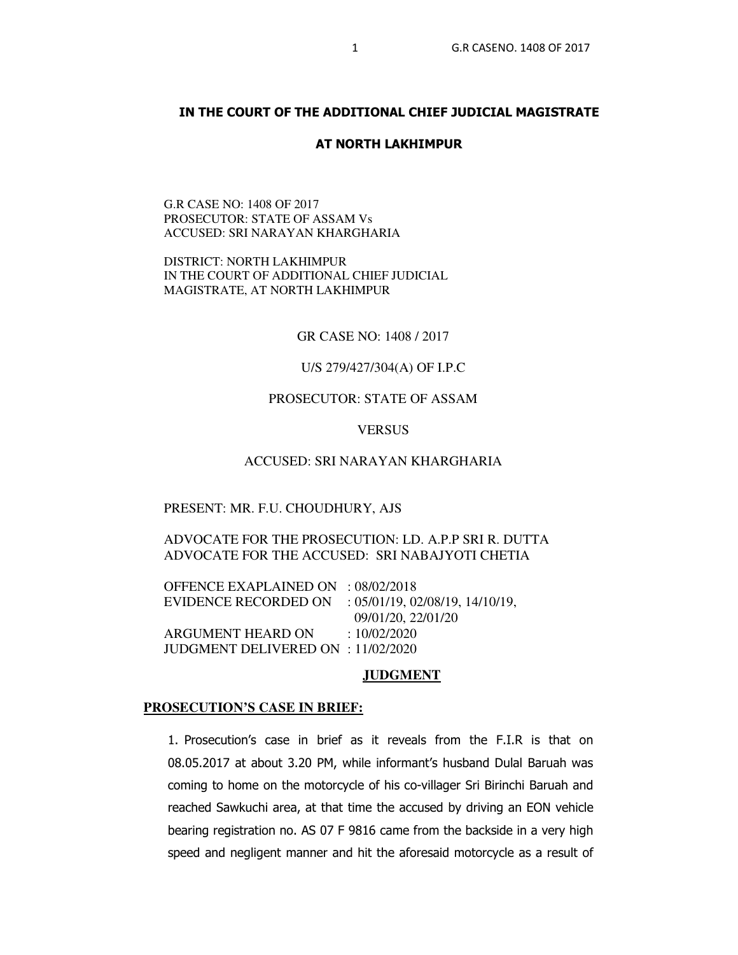# **IN THE COURT OF THE ADDITIONAL CHIEF JUDICIAL MAGISTRATE**

#### **AT NORTH LAKHIMPUR**

G.R CASE NO: 1408 OF 2017 PROSECUTOR: STATE OF ASSAM Vs ACCUSED: SRI NARAYAN KHARGHARIA

DISTRICT: NORTH LAKHIMPUR IN THE COURT OF ADDITIONAL CHIEF JUDICIAL MAGISTRATE, AT NORTH LAKHIMPUR

GR CASE NO: 1408 / 2017

U/S 279/427/304(A) OF I.P.C

# PROSECUTOR: STATE OF ASSAM

## **VERSUS**

## ACCUSED: SRI NARAYAN KHARGHARIA

#### PRESENT: MR. F.U. CHOUDHURY, AJS

# ADVOCATE FOR THE PROSECUTION: LD. A.P.P SRI R. DUTTA ADVOCATE FOR THE ACCUSED: SRI NABAJYOTI CHETIA

OFFENCE EXAPLAINED ON : 08/02/2018 EVIDENCE RECORDED ON : 05/01/19, 02/08/19, 14/10/19, 09/01/20, 22/01/20 ARGUMENT HEARD ON : 10/02/2020 JUDGMENT DELIVERED ON : 11/02/2020

#### **JUDGMENT**

#### **PROSECUTION'S CASE IN BRIEF:**

1. Prosecution's case in brief as it reveals from the F.I.R is that on 08.05.2017 at about 3.20 PM, while informant's husband Dulal Baruah was coming to home on the motorcycle of his co-villager Sri Birinchi Baruah and reached Sawkuchi area, at that time the accused by driving an EON vehicle bearing registration no. AS 07 F 9816 came from the backside in a very high speed and negligent manner and hit the aforesaid motorcycle as a result of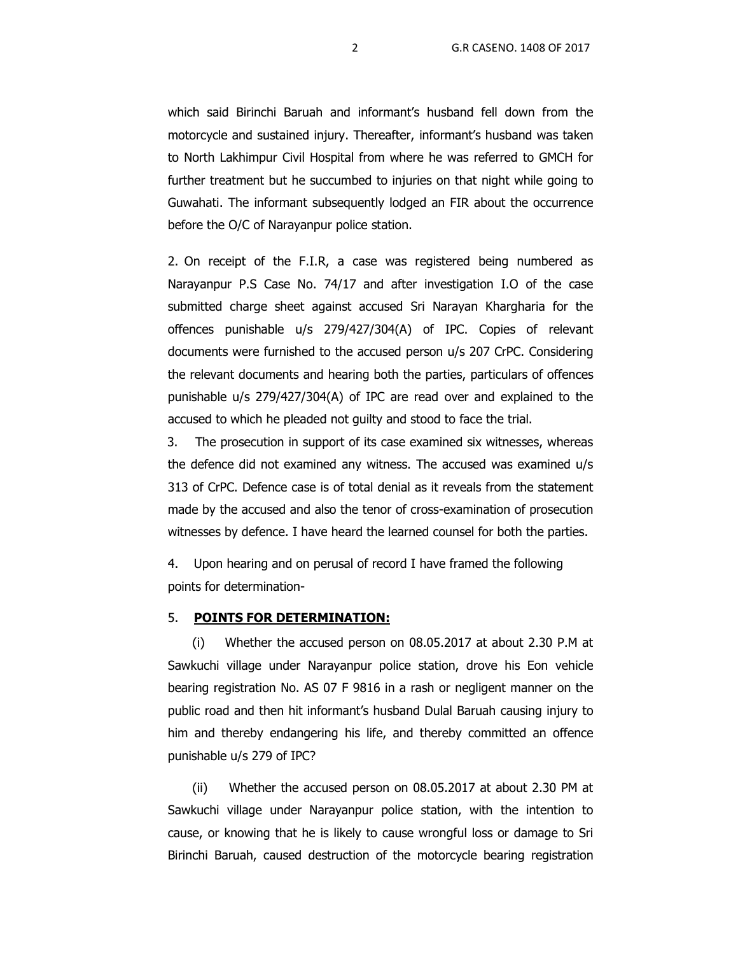which said Birinchi Baruah and informant's husband fell down from the motorcycle and sustained injury. Thereafter, informant's husband was taken to North Lakhimpur Civil Hospital from where he was referred to GMCH for further treatment but he succumbed to injuries on that night while going to Guwahati. The informant subsequently lodged an FIR about the occurrence before the O/C of Narayanpur police station.

2. On receipt of the F.I.R, a case was registered being numbered as Narayanpur P.S Case No. 74/17 and after investigation I.O of the case submitted charge sheet against accused Sri Narayan Khargharia for the offences punishable u/s 279/427/304(A) of IPC. Copies of relevant documents were furnished to the accused person u/s 207 CrPC. Considering the relevant documents and hearing both the parties, particulars of offences punishable u/s 279/427/304(A) of IPC are read over and explained to the accused to which he pleaded not guilty and stood to face the trial.

 3. The prosecution in support of its case examined six witnesses, whereas the defence did not examined any witness. The accused was examined u/s 313 of CrPC. Defence case is of total denial as it reveals from the statement made by the accused and also the tenor of cross-examination of prosecution witnesses by defence. I have heard the learned counsel for both the parties.

4. Upon hearing and on perusal of record I have framed the following points for determination-

#### 5. **POINTS FOR DETERMINATION:**

(i) Whether the accused person on 08.05.2017 at about 2.30 P.M at Sawkuchi village under Narayanpur police station, drove his Eon vehicle bearing registration No. AS 07 F 9816 in a rash or negligent manner on the public road and then hit informant's husband Dulal Baruah causing injury to him and thereby endangering his life, and thereby committed an offence punishable u/s 279 of IPC?

(ii) Whether the accused person on 08.05.2017 at about 2.30 PM at Sawkuchi village under Narayanpur police station, with the intention to cause, or knowing that he is likely to cause wrongful loss or damage to Sri Birinchi Baruah, caused destruction of the motorcycle bearing registration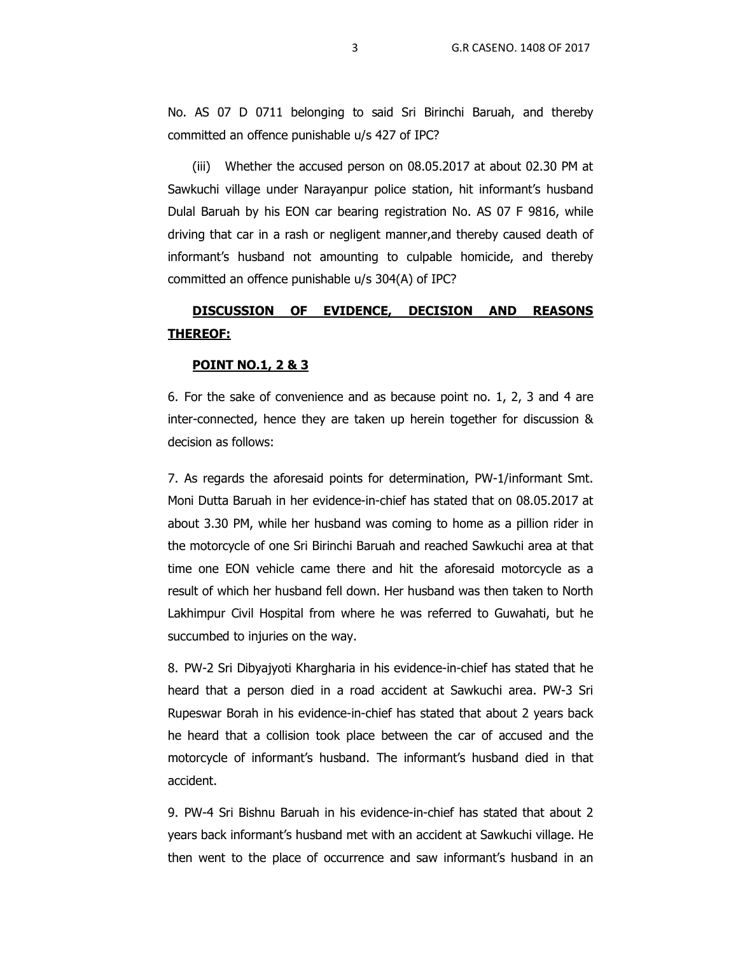No. AS 07 D 0711 belonging to said Sri Birinchi Baruah, and thereby committed an offence punishable u/s 427 of IPC?

(iii) Whether the accused person on 08.05.2017 at about 02.30 PM at Sawkuchi village under Narayanpur police station, hit informant's husband Dulal Baruah by his EON car bearing registration No. AS 07 F 9816, while driving that car in a rash or negligent manner,and thereby caused death of informant's husband not amounting to culpable homicide, and thereby committed an offence punishable u/s 304(A) of IPC?

# **DISCUSSION OF EVIDENCE, DECISION AND REASONS THEREOF:**

### **POINT NO.1, 2 & 3**

6. For the sake of convenience and as because point no. 1, 2, 3 and 4 are inter-connected, hence they are taken up herein together for discussion & decision as follows:

7. As regards the aforesaid points for determination, PW-1/informant Smt. Moni Dutta Baruah in her evidence-in-chief has stated that on 08.05.2017 at about 3.30 PM, while her husband was coming to home as a pillion rider in the motorcycle of one Sri Birinchi Baruah and reached Sawkuchi area at that time one EON vehicle came there and hit the aforesaid motorcycle as a result of which her husband fell down. Her husband was then taken to North Lakhimpur Civil Hospital from where he was referred to Guwahati, but he succumbed to injuries on the way.

8. PW-2 Sri Dibyajyoti Khargharia in his evidence-in-chief has stated that he heard that a person died in a road accident at Sawkuchi area. PW-3 Sri Rupeswar Borah in his evidence-in-chief has stated that about 2 years back he heard that a collision took place between the car of accused and the motorcycle of informant's husband. The informant's husband died in that accident.

9. PW-4 Sri Bishnu Baruah in his evidence-in-chief has stated that about 2 years back informant's husband met with an accident at Sawkuchi village. He then went to the place of occurrence and saw informant's husband in an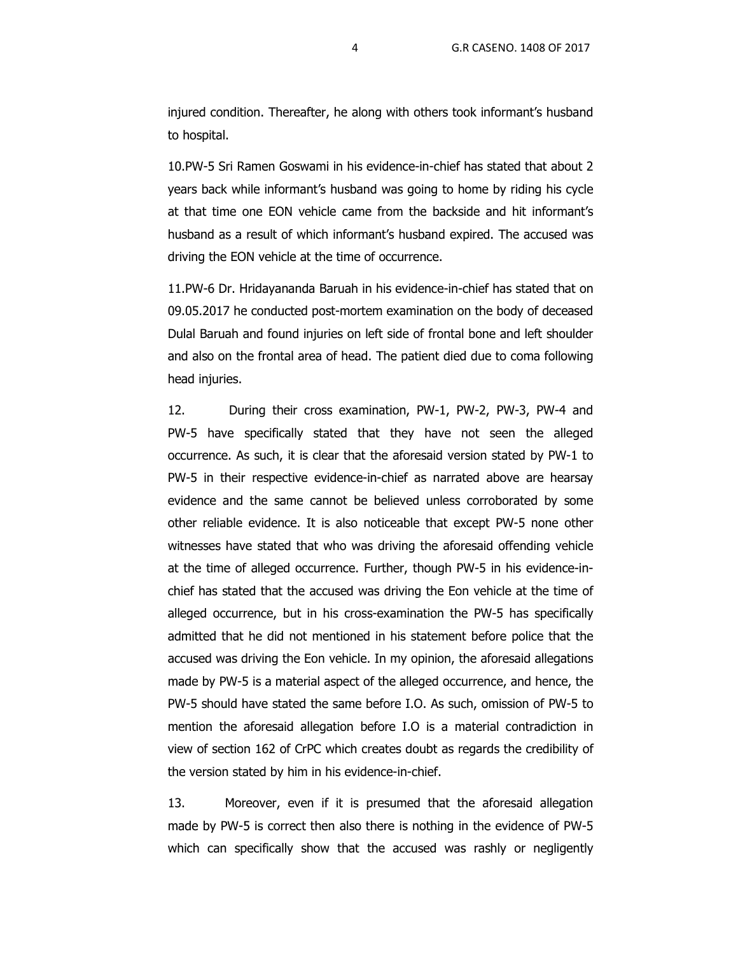injured condition. Thereafter, he along with others took informant's husband to hospital.

10.PW-5 Sri Ramen Goswami in his evidence-in-chief has stated that about 2 years back while informant's husband was going to home by riding his cycle at that time one EON vehicle came from the backside and hit informant's husband as a result of which informant's husband expired. The accused was driving the EON vehicle at the time of occurrence.

11.PW-6 Dr. Hridayananda Baruah in his evidence-in-chief has stated that on 09.05.2017 he conducted post-mortem examination on the body of deceased Dulal Baruah and found injuries on left side of frontal bone and left shoulder and also on the frontal area of head. The patient died due to coma following head injuries.

12. During their cross examination, PW-1, PW-2, PW-3, PW-4 and PW-5 have specifically stated that they have not seen the alleged occurrence. As such, it is clear that the aforesaid version stated by PW-1 to PW-5 in their respective evidence-in-chief as narrated above are hearsay evidence and the same cannot be believed unless corroborated by some other reliable evidence. It is also noticeable that except PW-5 none other witnesses have stated that who was driving the aforesaid offending vehicle at the time of alleged occurrence. Further, though PW-5 in his evidence-inchief has stated that the accused was driving the Eon vehicle at the time of alleged occurrence, but in his cross-examination the PW-5 has specifically admitted that he did not mentioned in his statement before police that the accused was driving the Eon vehicle. In my opinion, the aforesaid allegations made by PW-5 is a material aspect of the alleged occurrence, and hence, the PW-5 should have stated the same before I.O. As such, omission of PW-5 to mention the aforesaid allegation before I.O is a material contradiction in view of section 162 of CrPC which creates doubt as regards the credibility of the version stated by him in his evidence-in-chief.

13. Moreover, even if it is presumed that the aforesaid allegation made by PW-5 is correct then also there is nothing in the evidence of PW-5 which can specifically show that the accused was rashly or negligently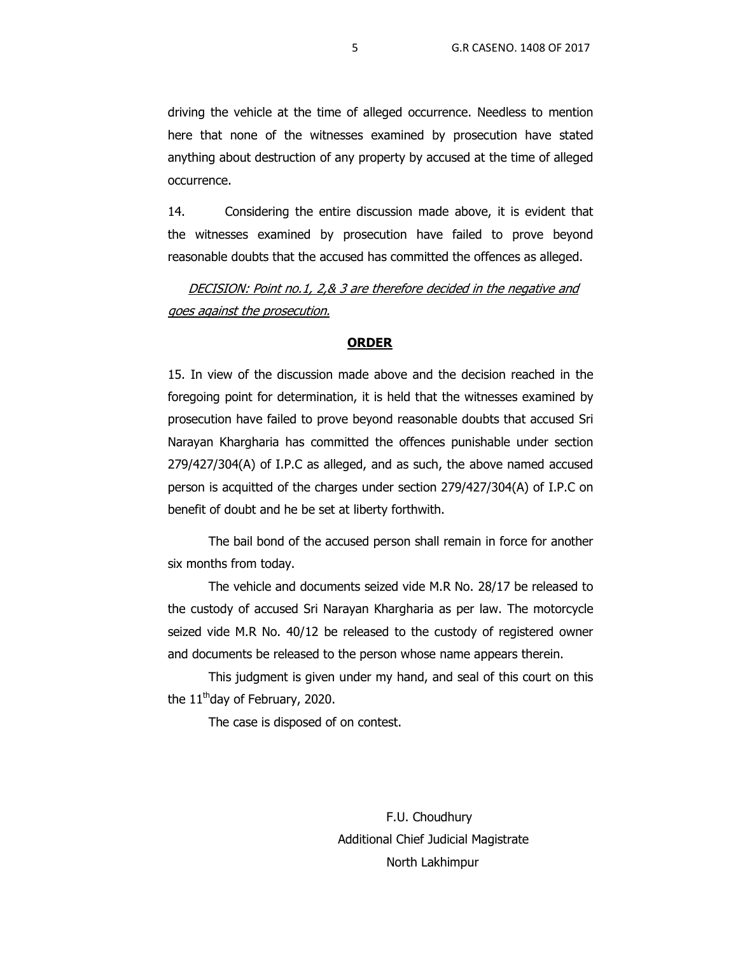driving the vehicle at the time of alleged occurrence. Needless to mention here that none of the witnesses examined by prosecution have stated anything about destruction of any property by accused at the time of alleged occurrence.

14. Considering the entire discussion made above, it is evident that the witnesses examined by prosecution have failed to prove beyond reasonable doubts that the accused has committed the offences as alleged.

DECISION: Point no.1, 2,& 3 are therefore decided in the negative and goes against the prosecution.

#### **ORDER**

15. In view of the discussion made above and the decision reached in the foregoing point for determination, it is held that the witnesses examined by prosecution have failed to prove beyond reasonable doubts that accused Sri Narayan Khargharia has committed the offences punishable under section 279/427/304(A) of I.P.C as alleged, and as such, the above named accused person is acquitted of the charges under section 279/427/304(A) of I.P.C on benefit of doubt and he be set at liberty forthwith.

The bail bond of the accused person shall remain in force for another six months from today.

The vehicle and documents seized vide M.R No. 28/17 be released to the custody of accused Sri Narayan Khargharia as per law. The motorcycle seized vide M.R No. 40/12 be released to the custody of registered owner and documents be released to the person whose name appears therein.

This judgment is given under my hand, and seal of this court on this the  $11<sup>th</sup>$ day of February, 2020.

The case is disposed of on contest.

 F.U. Choudhury Additional Chief Judicial Magistrate North Lakhimpur